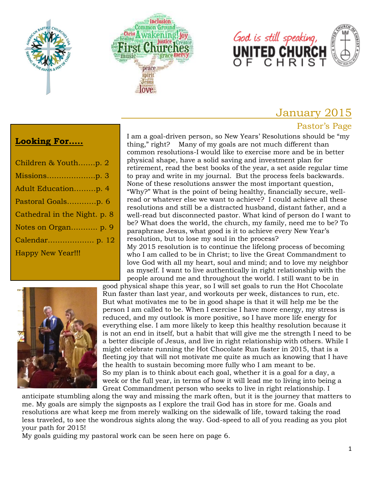





# January 2015

#### Pastor's Page

#### **Looking For…..**

| Children & Youthp. 2         |
|------------------------------|
|                              |
| Adult Educationp. 4          |
| Pastoral Goalsp. 6           |
| Cathedral in the Night. p. 8 |
| Notes on Organ p. 9          |
|                              |
| <b>Happy New Year!!!</b>     |

I am a goal-driven person, so New Years' Resolutions should be "my thing," right? Many of my goals are not much different than common resolutions-I would like to exercise more and be in better physical shape, have a solid saving and investment plan for retirement, read the best books of the year, a set aside regular time to pray and write in my journal. But the process feels backwards. None of these resolutions answer the most important question, "Why?" What is the point of being healthy, financially secure, wellread or whatever else we want to achieve? I could achieve all these resolutions and still be a distracted husband, distant father, and a well-read but disconnected pastor. What kind of person do I want to be? What does the world, the church, my family, need me to be? To paraphrase Jesus, what good is it to achieve every New Year's resolution, but to lose my soul in the process?

My 2015 resolution is to continue the lifelong process of becoming who I am called to be in Christ; to live the Great Commandment to love God with all my heart, soul and mind; and to love my neighbor as myself. I want to live authentically in right relationship with the people around me and throughout the world. I still want to be in



good physical shape this year, so I will set goals to run the Hot Chocolate Run faster than last year, and workouts per week, distances to run, etc. But what motivates me to be in good shape is that it will help me be the person I am called to be. When I exercise I have more energy, my stress is reduced, and my outlook is more positive, so I have more life energy for everything else. I am more likely to keep this healthy resolution because it is not an end in itself, but a habit that will give me the strength I need to be a better disciple of Jesus, and live in right relationship with others. While I might celebrate running the Hot Chocolate Run faster in 2015, that is a fleeting joy that will not motivate me quite as much as knowing that I have the health to sustain becoming more fully who I am meant to be. So my plan is to think about each goal, whether it is a goal for a day, a week or the full year, in terms of how it will lead me to living into being a Great Commandment person who seeks to live in right relationship. I

anticipate stumbling along the way and missing the mark often, but it is the journey that matters to me. My goals are simply the signposts as I explore the trail God has in store for me. Goals and resolutions are what keep me from merely walking on the sidewalk of life, toward taking the road less traveled, to see the wondrous sights along the way. God-speed to all of you reading as you plot your path for 2015!

My goals guiding my pastoral work can be seen here on page 6.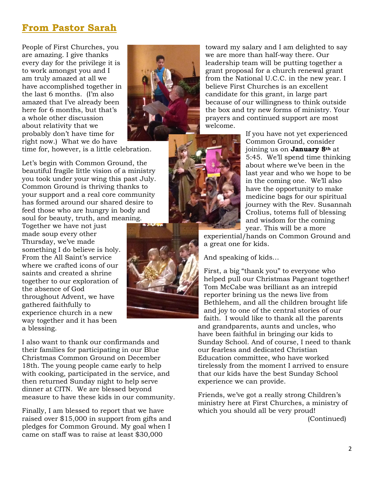# **From Pastor Sarah**

People of First Churches, you are amazing. I give thanks every day for the privilege it is to work amongst you and I am truly amazed at all we have accomplished together in the last 6 months. (I'm also amazed that I've already been here for 6 months, but that's a whole other discussion about relativity that we probably don't have time for right now.) What we do have



time for, however, is a little celebration.

Let's begin with Common Ground, the beautiful fragile little vision of a ministry you took under your wing this past July. Common Ground is thriving thanks to your support and a real core community has formed around our shared desire to feed those who are hungry in body and soul for beauty, truth, and meaning.

Together we have not just made soup every other Thursday, we've made something I do believe is holy. From the All Saint's service where we crafted icons of our saints and created a shrine together to our exploration of the absence of God throughout Advent, we have gathered faithfully to experience church in a new way together and it has been a blessing.

I also want to thank our confirmands and their families for participating in our Blue Christmas Common Ground on December 18th. The young people came early to help with cooking, participated in the service, and then returned Sunday night to help serve dinner at CITN. We are blessed beyond measure to have these kids in our community.

Finally, I am blessed to report that we have raised over \$15,000 in support from gifts and pledges for Common Ground. My goal when I came on staff was to raise at least \$30,000

toward my salary and I am delighted to say we are more than half-way there. Our leadership team will be putting together a grant proposal for a church renewal grant from the National U.C.C. in the new year. I believe First Churches is an excellent candidate for this grant, in large part because of our willingness to think outside the box and try new forms of ministry. Your prayers and continued support are most welcome.

> If you have not yet experienced Common Ground, consider joining us on **January 8th** at 5:45. We'll spend time thinking about where we've been in the last year and who we hope to be in the coming one. We'll also have the opportunity to make medicine bags for our spiritual journey with the Rev. Susannah Crolius, totems full of blessing and wisdom for the coming year. This will be a more

experiential/hands on Common Ground and a great one for kids.

And speaking of kids…

First, a big "thank you" to everyone who helped pull our Christmas Pageant together! Tom McCabe was brilliant as an intrepid reporter brining us the news live from Bethlehem, and all the children brought life and joy to one of the central stories of our faith. I would like to thank all the parents and grandparents, aunts and uncles, who have been faithful in bringing our kids to Sunday School. And of course, I need to thank our fearless and dedicated Christian Education committee, who have worked tirelessly from the moment I arrived to ensure that our kids have the best Sunday School experience we can provide.

Friends, we've got a really strong Children's ministry here at First Churches, a ministry of which you should all be very proud! (Continued)

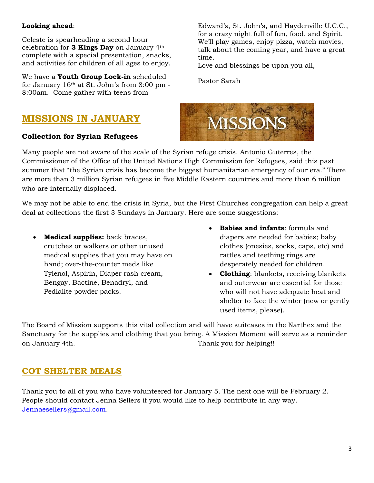#### **Looking ahead**:

Celeste is spearheading a second hour celebration for **3 Kings Day** on January 4th complete with a special presentation, snacks, and activities for children of all ages to enjoy.

We have a **Youth Group Lock-in** scheduled for January 16th at St. John's from 8:00 pm - 8:00am. Come gather with teens from

# **MISSIONS IN JANUARY**

#### **Collection for Syrian Refugees**

Edward's, St. John's, and Haydenville U.C.C., for a crazy night full of fun, food, and Spirit. We'll play games, enjoy pizza, watch movies, talk about the coming year, and have a great time.

Love and blessings be upon you all,

Pastor Sarah



Many people are not aware of the scale of the Syrian refuge crisis. Antonio Guterres, the Commissioner of the Office of the United Nations High Commission for Refugees, said this past summer that "the Syrian crisis has become the biggest humanitarian emergency of our era." There are more than 3 million Syrian refugees in five Middle Eastern countries and more than 6 million who are internally displaced.

We may not be able to end the crisis in Syria, but the First Churches congregation can help a great deal at collections the first 3 Sundays in January. Here are some suggestions:

- **Medical supplies:** back braces, crutches or walkers or other unused medical supplies that you may have on hand; over-the-counter meds like Tylenol, Aspirin, Diaper rash cream, Bengay, Bactine, Benadryl, and Pedialite powder packs.
- **Babies and infants**: formula and diapers are needed for babies; baby clothes (onesies, socks, caps, etc) and rattles and teething rings are desperately needed for children.
- **Clothing**: blankets, receiving blankets and outerwear are essential for those who will not have adequate heat and shelter to face the winter (new or gently used items, please).

The Board of Mission supports this vital collection and will have suitcases in the Narthex and the Sanctuary for the supplies and clothing that you bring. A Mission Moment will serve as a reminder on January 4th. Thank you for helping!!

#### **COT SHELTER MEALS**

Thank you to all of you who have volunteered for January 5. The next one will be February 2. People should contact Jenna Sellers if you would like to help contribute in any way. [Jennaesellers@gmail.com.](mailto:Jennaesellers@gmail.com)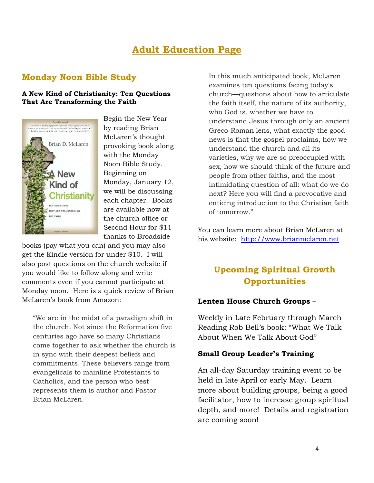# **Adult Education Page**

#### **Monday Noon Bible Study**

#### **A New Kind of Christianity: Ten Questions That Are Transforming the Faith**



Begin the New Year by reading Brian McLaren's thought provoking book along with the Monday Noon Bible Study. Beginning on Monday, January 12, we will be discussing each chapter. Books are available now at the church office or Second Hour for \$11 thanks to Broadside

books (pay what you can) and you may also get the Kindle version for under \$10. I will also post questions on the church website if you would like to follow along and write comments even if you cannot participate at Monday noon. Here is a quick review of Brian McLaren's book from Amazon:

"We are in the midst of a paradigm shift in the church. Not since the Reformation five centuries ago have so many Christians come together to ask whether the church is in sync with their deepest beliefs and commitments. These believers range from evangelicals to mainline Protestants to Catholics, and the person who best represents them is author and Pastor Brian McLaren.

In this much anticipated book, McLaren examines ten questions facing today's church—questions about how to articulate the faith itself, the nature of its authority, who God is, whether we have to understand Jesus through only an ancient Greco-Roman lens, what exactly the good news is that the gospel proclaims, how we understand the church and all its varieties, why we are so preoccupied with sex, how we should think of the future and people from other faiths, and the most intimidating question of all: what do we do next? Here you will find a provocative and enticing introduction to the Christian faith of tomorrow."

You can learn more about Brian McLaren at his website: [http://www.brianmclaren.net](http://www.brianmclaren.net/)

### **Upcoming Spiritual Growth Opportunities**

#### **Lenten House Church Groups** –

Weekly in Late February through March Reading Rob Bell's book: "What We Talk About When We Talk About God"

#### **Small Group Leader's Training**

An all-day Saturday training event to be held in late April or early May. Learn more about building groups, being a good facilitator, how to increase group spiritual depth, and more! Details and registration are coming soon!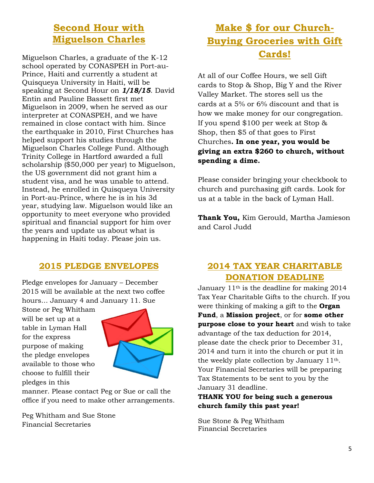# **Second Hour with Miguelson Charles**

Miguelson Charles, a graduate of the K-12 school operated by CONASPEH in Port-au-Prince, Haiti and currently a student at Quisqueya University in Haiti, will be speaking at Second Hour on *1/18/15*. David Entin and Pauline Bassett first met Miguelson in 2009, when he served as our interpreter at CONASPEH, and we have remained in close contact with him. Since the earthquake in 2010, First Churches has helped support his studies through the Miguelson Charles College Fund. Although Trinity College in Hartford awarded a full scholarship (\$50,000 per year) to Miguelson, the US government did not grant him a student visa, and he was unable to attend. Instead, he enrolled in Quisqueya University in Port-au-Prince, where he is in his 3d year, studying law. Miguelson would like an opportunity to meet everyone who provided spiritual and financial support for him over the years and update us about what is happening in Haiti today. Please join us.

#### **2015 PLEDGE ENVELOPES**

Pledge envelopes for January – December 2015 will be available at the next two coffee hours… January 4 and January 11. Sue

Stone or Peg Whitham will be set up at a table in Lyman Hall for the express purpose of making the pledge envelopes available to those who choose to fulfill their pledges in this



manner. Please contact Peg or Sue or call the office if you need to make other arrangements.

Peg Whitham and Sue Stone Financial Secretaries

# **Make \$ for our Church-Buying Groceries with Gift Cards!**

At all of our Coffee Hours, we sell Gift cards to Stop & Shop, Big Y and the River Valley Market. The stores sell us the cards at a 5% or 6% discount and that is how we make money for our congregation. If you spend \$100 per week at Stop & Shop, then \$5 of that goes to First Churches**. In one year, you would be giving an extra \$260 to church, without spending a dime.**

Please consider bringing your checkbook to church and purchasing gift cards. Look for us at a table in the back of Lyman Hall.

**Thank You,** Kim Gerould, Martha Jamieson and Carol Judd

#### **2014 TAX YEAR CHARITABLE DONATION DEADLINE**

January 11th is the deadline for making 2014 Tax Year Charitable Gifts to the church. If you were thinking of making a gift to the **Organ Fund**, a **Mission project**, or for **some other purpose close to your heart** and wish to take advantage of the tax deduction for 2014, please date the check prior to December 31, 2014 and turn it into the church or put it in the weekly plate collection by January 11th. Your Financial Secretaries will be preparing Tax Statements to be sent to you by the January 31 deadline.

**THANK YOU for being such a generous church family this past year!**

Sue Stone & Peg Whitham Financial Secretaries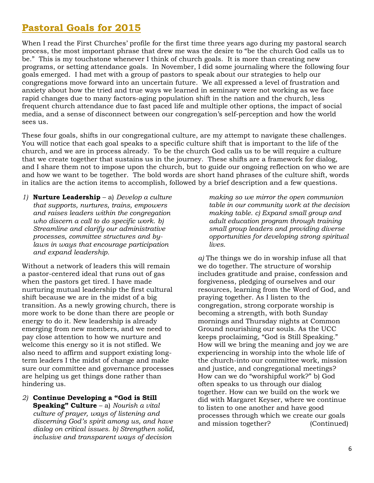# **Pastoral Goals for 2015**

When I read the First Churches' profile for the first time three years ago during my pastoral search process, the most important phrase that drew me was the desire to "be the church God calls us to be." This is my touchstone whenever I think of church goals. It is more than creating new programs, or setting attendance goals. In November, I did some journaling where the following four goals emerged. I had met with a group of pastors to speak about our strategies to help our congregations move forward into an uncertain future. We all expressed a level of frustration and anxiety about how the tried and true ways we learned in seminary were not working as we face rapid changes due to many factors-aging population shift in the nation and the church, less frequent church attendance due to fast paced life and multiple other options, the impact of social media, and a sense of disconnect between our congregation's self-perception and how the world sees us.

These four goals, shifts in our congregational culture, are my attempt to navigate these challenges. You will notice that each goal speaks to a specific culture shift that is important to the life of the church, and we are in process already. To be the church God calls us to be will require a culture that we create together that sustains us in the journey. These shifts are a framework for dialog, and I share them not to impose upon the church, but to guide our ongoing reflection on who we are and how we want to be together. The bold words are short hand phrases of the culture shift, words in italics are the action items to accomplish, followed by a brief description and a few questions.

*1)* **Nurture Leadership** – a) *Develop a culture that supports, nurtures, trains, empowers and raises leaders within the congregation who discern a call to do specific work. b) Streamline and clarify our administrative processes, committee structures and bylaws in ways that encourage participation and expand leadership.*

Without a network of leaders this will remain a pastor-centered ideal that runs out of gas when the pastors get tired. I have made nurturing mutual leadership the first cultural shift because we are in the midst of a big transition. As a newly growing church, there is more work to be done than there are people or energy to do it. New leadership is already emerging from new members, and we need to pay close attention to how we nurture and welcome this energy so it is not stifled. We also need to affirm and support existing longterm leaders I the midst of change and make sure our committee and governance processes are helping us get things done rather than hindering us.

*2)* **Continue Developing a "God is Still Speaking" Culture** – a) *Nourish a vital culture of prayer, ways of listening and discerning God's spirit among us, and have dialog on critical issues. b) Strengthen solid, inclusive and transparent ways of decision* 

*making so we mirror the open communion table in our community work at the decision making table. c) Expand small group and adult education program through training small group leaders and providing diverse opportunities for developing strong spiritual lives.*

*a)* The things we do in worship infuse all that we do together. The structure of worship includes gratitude and praise, confession and forgiveness, pledging of ourselves and our resources, learning from the Word of God, and praying together. As I listen to the congregation, strong corporate worship is becoming a strength, with both Sunday mornings and Thursday nights at Common Ground nourishing our souls. As the UCC keeps proclaiming, "God is Still Speaking." How will we bring the meaning and joy we are experiencing in worship into the whole life of the church-into our committee work, mission and justice, and congregational meetings? How can we do "worshipful work?" b) God often speaks to us through our dialog together. How can we build on the work we did with Margaret Keyser, where we continue to listen to one another and have good processes through which we create our goals and mission together? (Continued)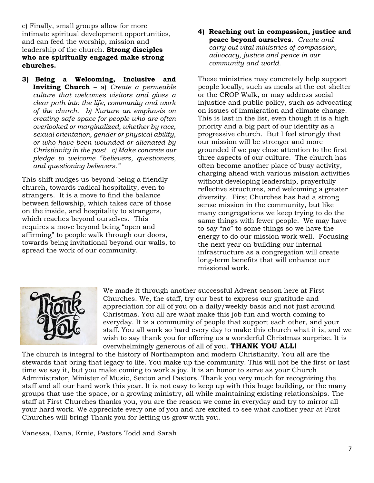c) Finally, small groups allow for more intimate spiritual development opportunities, and can feed the worship, mission and leadership of the church. **Strong disciples who are spiritually engaged make strong churches.**

**3) Being a Welcoming, Inclusive and Inviting Church** – a) *Create a permeable culture that welcomes visitors and gives a clear path into the life, community and work of the church. b) Nurture an emphasis on creating safe space for people who are often overlooked or marginalized, whether by race, sexual orientation, gender or physical ability, or who have been wounded or alienated by Christianity in the past. c) Make concrete our pledge to welcome "believers, questioners, and questioning believers."*

This shift nudges us beyond being a friendly church, towards radical hospitality, even to strangers. It is a move to find the balance between fellowship, which takes care of those on the inside, and hospitality to strangers, which reaches beyond ourselves. This requires a move beyond being "open and affirming" to people walk through our doors, towards being invitational beyond our walls, to spread the work of our community.

**4) Reaching out in compassion, justice and peace beyond ourselves**. *Create and carry out vital ministries of compassion, advocacy, justice and peace in our community and world.*

These ministries may concretely help support people locally, such as meals at the cot shelter or the CROP Walk, or may address social injustice and public policy, such as advocating on issues of immigration and climate change. This is last in the list, even though it is a high priority and a big part of our identity as a progressive church. But I feel strongly that our mission will be stronger and more grounded if we pay close attention to the first three aspects of our culture. The church has often become another place of busy activity, charging ahead with various mission activities without developing leadership, prayerfully reflective structures, and welcoming a greater diversity. First Churches has had a strong sense mission in the community, but like many congregations we keep trying to do the same things with fewer people. We may have to say "no" to some things so we have the energy to do our mission work well. Focusing the next year on building our internal infrastructure as a congregation will create long-term benefits that will enhance our missional work.



We made it through another successful Advent season here at First Churches. We, the staff, try our best to express our gratitude and appreciation for all of you on a daily/weekly basis and not just around Christmas. You all are what make this job fun and worth coming to everyday. It is a community of people that support each other, and your staff. You all work so hard every day to make this church what it is, and we wish to say thank you for offering us a wonderful Christmas surprise. It is overwhelmingly generous of all of you. **THANK YOU ALL!**

The church is integral to the history of Northampton and modern Christianity. You all are the stewards that bring that legacy to life. You make up the community. This will not be the first or last time we say it, but you make coming to work a joy. It is an honor to serve as your Church Administrator, Minister of Music, Sexton and Pastors. Thank you very much for recognizing the staff and all our hard work this year. It is not easy to keep up with this huge building, or the many groups that use the space, or a growing ministry, all while maintaining existing relationships. The staff at First Churches thanks you, you are the reason we come in everyday and try to mirror all your hard work. We appreciate every one of you and are excited to see what another year at First Churches will bring! Thank you for letting us grow with you.

Vanessa, Dana, Ernie, Pastors Todd and Sarah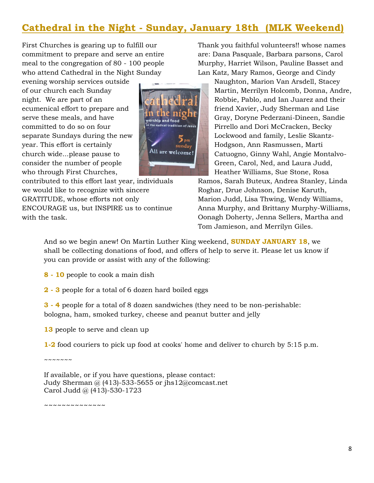# **Cathedral in the Night - Sunday, January 18th (MLK Weekend)**

First Churches is gearing up to fulfill our commitment to prepare and serve an entire meal to the congregation of 80 - 100 people who attend Cathedral in the Night Sunday

evening worship services outside of our church each Sunday night. We are part of an ecumenical effort to prepare and serve these meals, and have committed to do so on four separate Sundays during the new year. This effort is certainly church wide...please pause to consider the number of people who through First Churches,

contributed to this effort last year, individuals we would like to recognize with sincere GRATITUDE, whose efforts not only ENCOURAGE us, but INSPIRE us to continue with the task.

orship and food he radical tradition of Jesus  $5_{pm}$ sunday All are welcome!

Thank you faithful volunteers!! whose names are: Dana Pasquale, Barbara parsons, Carol Murphy, Harriet Wilson, Pauline Basset and Lan Katz, Mary Ramos, George and Cindy

> Naughton, Marion Van Arsdell, Stacey Martin, Merrilyn Holcomb, Donna, Andre, Robbie, Pablo, and Ian Juarez and their friend Xavier, Judy Sherman and Lise Gray, Doryne Pederzani-Dineen, Sandie Pirrello and Dori McCracken, Becky Lockwood and family, Leslie Skantz-Hodgson, Ann Rasmussen, Marti Catuogno, Ginny Wahl, Angie Montalvo-Green, Carol, Ned, and Laura Judd, Heather Williams, Sue Stone, Rosa

Ramos, Sarah Buteux, Andrea Stanley, Linda Roghar, Drue Johnson, Denise Karuth, Marion Judd, Lisa Thwing, Wendy Williams, Anna Murphy, and Brittany Murphy-Williams, Oonagh Doherty, Jenna Sellers, Martha and Tom Jamieson, and Merrilyn Giles.

And so we begin anew! On Martin Luther King weekend, **SUNDAY JANUARY 18**, we shall be collecting donations of food, and offers of help to serve it. Please let us know if you can provide or assist with any of the following:

- **8 - 10** people to cook a main dish
- **2 - 3** people for a total of 6 dozen hard boiled eggs

**3 - 4** people for a total of 8 dozen sandwiches (they need to be non-perishable: bologna, ham, smoked turkey, cheese and peanut butter and jelly

**13** people to serve and clean up

**1-2** food couriers to pick up food at cooks' home and deliver to church by 5:15 p.m.

~~~~~~~

If available, or if you have questions, please contact: Judy Sherman @  $(413)$ -533-5655 or jhs12@comcast.net Carol Judd @ (413)-530-1723

~~~~~~~~~~~~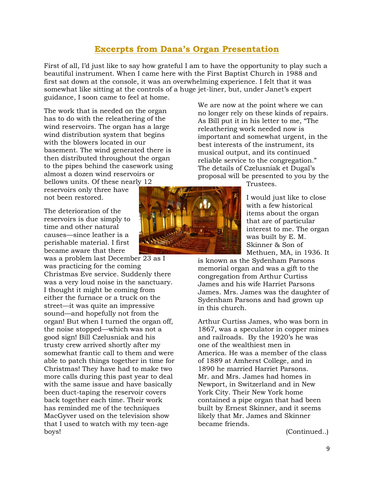#### **Excerpts from Dana's Organ Presentation**

First of all, I'd just like to say how grateful I am to have the opportunity to play such a beautiful instrument. When I came here with the First Baptist Church in 1988 and first sat down at the console, it was an overwhelming experience. I felt that it was somewhat like sitting at the controls of a huge jet-liner, but, under Janet's expert guidance, I soon came to feel at home.

The work that is needed on the organ has to do with the releathering of the wind reservoirs. The organ has a large wind distribution system that begins with the blowers located in our basement. The wind generated there is then distributed throughout the organ to the pipes behind the casework using almost a dozen wind reservoirs or bellows units. Of these nearly 12

reservoirs only three have not been restored.

The deterioration of the reservoirs is due simply to time and other natural causes—since leather is a perishable material. I first became aware that there

was a problem last December 23 as I was practicing for the coming Christmas Eve service. Suddenly there was a very loud noise in the sanctuary. I thought it might be coming from either the furnace or a truck on the street—it was quite an impressive sound—and hopefully not from the organ! But when I turned the organ off, the noise stopped—which was not a good sign! Bill Czelusniak and his trusty crew arrived shortly after my somewhat frantic call to them and were able to patch things together in time for Christmas! They have had to make two more calls during this past year to deal with the same issue and have basically been duct-taping the reservoir covers back together each time. Their work has reminded me of the techniques MacGyver used on the television show that I used to watch with my teen-age boys!

We are now at the point where we can no longer rely on these kinds of repairs. As Bill put it in his letter to me, "The releathering work needed now is important and somewhat urgent, in the best interests of the instrument, its musical output, and its continued reliable service to the congregation." The details of Czelusniak et Dugal's proposal will be presented to you by the

Trustees.

I would just like to close with a few historical items about the organ that are of particular interest to me. The organ was built by E. M. Skinner & Son of Methuen, MA, in 1936. It

is known as the Sydenham Parsons memorial organ and was a gift to the congregation from Arthur Curtiss James and his wife Harriet Parsons James. Mrs. James was the daughter of Sydenham Parsons and had grown up in this church.

Arthur Curtiss James, who was born in 1867, was a speculator in copper mines and railroads. By the 1920's he was one of the wealthiest men in America. He was a member of the class of 1889 at Amherst College, and in 1890 he married Harriet Parsons. Mr. and Mrs. James had homes in Newport, in Switzerland and in New York City. Their New York home contained a pipe organ that had been built by Ernest Skinner, and it seems likely that Mr. James and Skinner became friends.

(Continued..)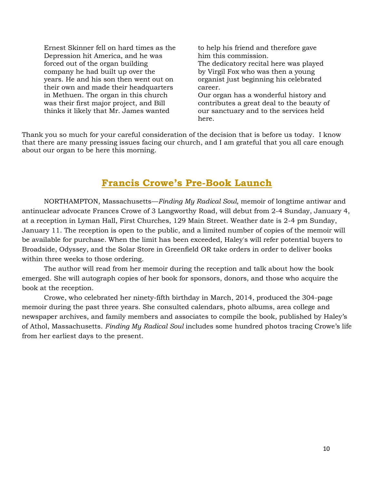Ernest Skinner fell on hard times as the Depression hit America, and he was forced out of the organ building company he had built up over the years. He and his son then went out on their own and made their headquarters in Methuen. The organ in this church was their first major project, and Bill thinks it likely that Mr. James wanted

to help his friend and therefore gave him this commission. The dedicatory recital here was played by Virgil Fox who was then a young organist just beginning his celebrated career. Our organ has a wonderful history and contributes a great deal to the beauty of

our sanctuary and to the services held here.

Thank you so much for your careful consideration of the decision that is before us today. I know that there are many pressing issues facing our church, and I am grateful that you all care enough about our organ to be here this morning.

# **Francis Crowe's Pre-Book Launch**

NORTHAMPTON, Massachusetts—*Finding My Radical Soul,* memoir of longtime antiwar and antinuclear advocate Frances Crowe of 3 Langworthy Road, will debut from 2-4 Sunday, January 4, at a reception in Lyman Hall, First Churches, 129 Main Street. Weather date is 2-4 pm Sunday, January 11. The reception is open to the public, and a limited number of copies of the memoir will be available for purchase. When the limit has been exceeded, Haley's will refer potential buyers to Broadside, Odyssey, and the Solar Store in Greenfield OR take orders in order to deliver books within three weeks to those ordering.

The author will read from her memoir during the reception and talk about how the book emerged. She will autograph copies of her book for sponsors, donors, and those who acquire the book at the reception.

Crowe, who celebrated her ninety-fifth birthday in March, 2014, produced the 304-page memoir during the past three years. She consulted calendars, photo albums, area college and newspaper archives, and family members and associates to compile the book, published by Haley's of Athol, Massachusetts. *Finding My Radical Soul* includes some hundred photos tracing Crowe's life from her earliest days to the present.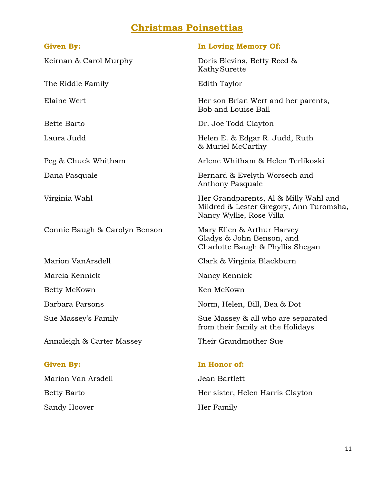# **Christmas Poinsettias**

The Riddle Family **Edith Taylor** 

Connie Baugh & Carolyn Benson Mary Ellen & Arthur Harvey

Annaleigh & Carter Massey Their Grandmother Sue

Marion Van Arsdell Jean Bartlett Sandy Hoover **Her Family** 

#### Given By: **In Loving Memory Of:**

Keirnan & Carol Murphy **Example 2** Doris Blevins, Betty Reed & KathySurette

Elaine Wert **Her son Brian Wert and her parents**, Bob and Louise Ball

Bette Barto Dr. Joe Todd Clayton

Laura Judd Helen E. & Edgar R. Judd, Ruth & Muriel McCarthy

Peg & Chuck Whitham Arlene Whitham & Helen Terlikoski

Dana Pasquale Bernard & Evelyth Worsech and Anthony Pasquale

Virginia Wahl **Wahl Communist Communist Communist** Her Grandparents, Al & Milly Wahl and Mildred & Lester Gregory, Ann Turomsha, Nancy Wyllie, Rose Villa

> Gladys & John Benson, and Charlotte Baugh & Phyllis Shegan

Marion VanArsdell Clark & Virginia Blackburn

Marcia Kennick Nancy Kennick

Betty McKown Ken McKown

Barbara Parsons Norm, Helen, Bill, Bea & Dot

Sue Massey's Family Sue Massey & all who are separated from their family at the Holidays

#### **Given By: In Honor of:**

Betty Barto **Her sister**, Helen Harris Clayton